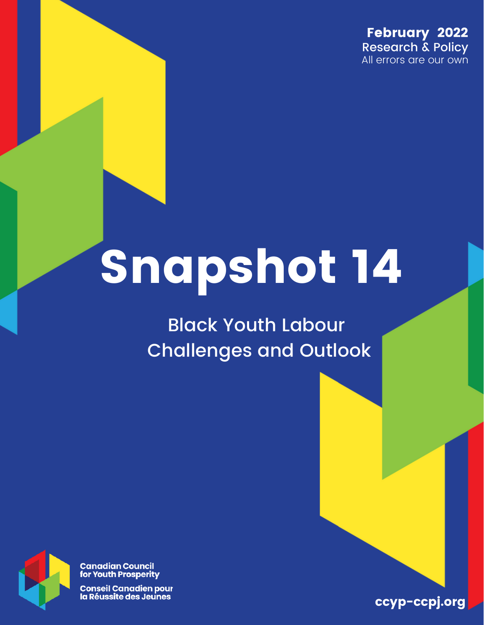February 2022 Research & Policy All errors are our own

## Snapshot 14

Black Youth Labour Challenges and Outlook



**Canadian Council<br>for Youth Prosperity** 

**Conseil Canadien pour** la Réussite des Jeunes

ccyp-ccpj.org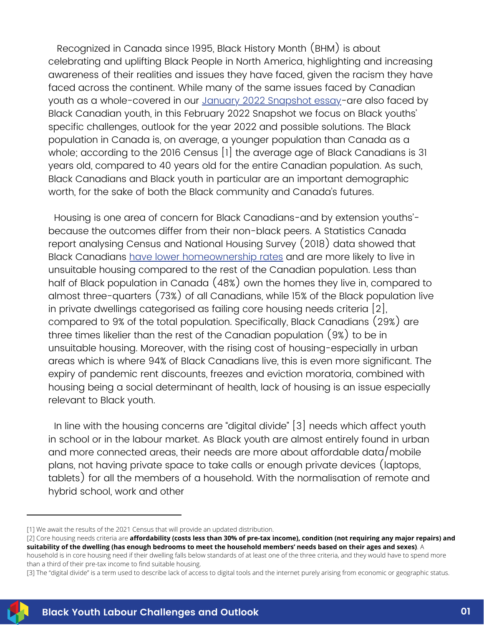Recognized in Canada since 1995, Black History Month (BHM) is about celebrating and uplifting Black People in North America, highlighting and increasing awareness of their realities and issues they have faced, given the racism they have faced across the continent. While many of the same issues faced by Canadian youth as a whole-covered in our January 2022 [Snapshot](https://ccyp-ccpj.wildapricot.org/resources/Knowledge%20Centre/EN%20Snapshot%20Issue%2013.pdf) essay-are also faced by Black Canadian youth, in this February 2022 Snapshot we focus on Black youths' specific challenges, outlook for the year 2022 and possible solutions. The Black population in Canada is, on average, a younger population than Canada as a whole; according to the 2016 Census [1] the average age of Black Canadians is 31 years old, compared to 40 years old for the entire Canadian population. As such, Black Canadians and Black youth in particular are an important demographic worth, for the sake of both the Black community and Canada's futures.

Housing is one area of concern for Black Canadians-and by extension youths' because the outcomes differ from their non-black peers. A Statistics Canada report analysing Census and National Housing Survey (2018) data showed that Black Canadians have lower [homeownership](https://www150.statcan.gc.ca/n1/pub/46-28-0001/2021001/article/00006-eng.htm) rates and are more likely to live in unsuitable housing compared to the rest of the Canadian population. Less than half of Black population in Canada (48%) own the homes they live in, compared to almost three-quarters (73%) of all Canadians, while 15% of the Black population live in private dwellings categorised as failing core housing needs criteria [2], compared to 9% of the total population. Specifically, Black Canadians (29%) are three times likelier than the rest of the Canadian population (9%) to be in unsuitable housing. Moreover, with the rising cost of housing-especially in urban areas which is where 94% of Black Canadians live, this is even more significant. The expiry of pandemic rent discounts, freezes and eviction moratoria, combined with housing being a social determinant of health, lack of housing is an issue especially relevant to Black youth.

In line with the housing concerns are "digital divide" [3] needs which affect youth in school or in the labour market. As Black youth are almost entirely found in urban and more connected areas, their needs are more about affordable data/mobile plans, not having private space to take calls or enough private devices (laptops, tablets) for all the members of a household. With the normalisation of remote and hybrid school, work and other

<sup>[3]</sup> The "digital divide" is a term used to describe lack of access to digital tools and the internet purely arising from economic or geographic status.



<sup>[1]</sup> We await the results of the 2021 Census that will provide an updated distribution.

<sup>[2]</sup> Core housing needs criteria are **affordability (costs less than 30% of pre-tax income), condition (not requiring any major repairs) and suitability of the dwelling (has enough bedrooms to meet the household members' needs based on their ages and sexes)**. A household is in core housing need if their dwelling falls below standards of at least one of the three criteria, and they would have to spend more than a third of their pre-tax income to find suitable housing.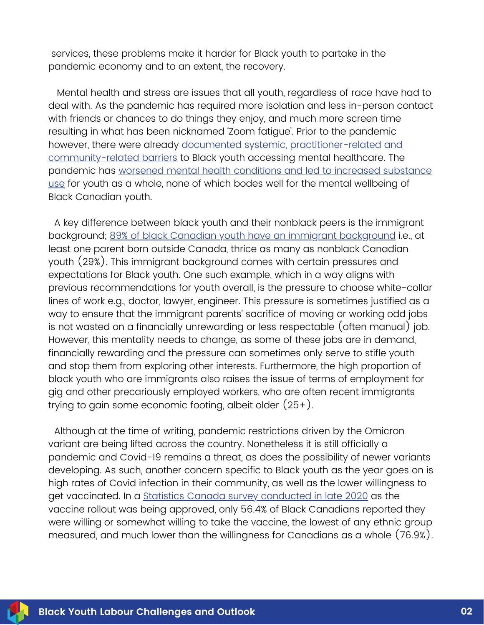services, these problems make it harder for Black youth to partake in the pandemic economy and to an extent, the recovery.

Mental health and stress are issues that all youth, regardless of race have had to deal with. As the pandemic has required more isolation and less in-person contact with friends or chances to do things they enjoy, and much more screen time resulting in what has been nicknamed 'Zoom fatigue'. Prior to the pandemic however, there were already documented systemic, [practitioner-related](https://doi.org/10.1007/s40894-020-00133-2) and community-related barriers to Black youth accessing mental healthcare. The pandemic has worsened mental health conditions and led to increased [substance](https://www150.statcan.gc.ca/n1/pub/11-631-x/2020004/s9-eng.htm) use for youth as a whole, none of which bodes well for the mental wellbeing of Black Canadian youth.

A key difference between black youth and their nonblack peers is the immigrant background; 89% of black Canadian youth have an immigrant [background](https://www150.statcan.gc.ca/n1/pub/75-006-x/2020001/article/00002-eng.htm) i.e., at least one parent born outside Canada, thrice as many as nonblack Canadian youth (29%). This immigrant background comes with certain pressures and expectations for Black youth. One such example, which in a way aligns with previous recommendations for youth overall, is the pressure to choose white-collar lines of work e.g., doctor, lawyer, engineer. This pressure is sometimes justified as a way to ensure that the immigrant parents' sacrifice of moving or working odd jobs is not wasted on a financially unrewarding or less respectable (often manual) job. However, this mentality needs to change, as some of these jobs are in demand, financially rewarding and the pressure can sometimes only serve to stifle youth and stop them from exploring other interests. Furthermore, the high proportion of black youth who are immigrants also raises the issue of terms of employment for gig and other precariously employed workers, who are often recent immigrants trying to gain some economic footing, albeit older (25+).

Although at the time of writing, pandemic restrictions driven by the Omicron variant are being lifted across the country. Nonetheless it is still officially a pandemic and Covid-19 remains a threat, as does the possibility of newer variants developing. As such, another concern specific to Black youth as the year goes on is high rates of Covid infection in their community, as well as the lower willingness to get vaccinated. In a Statistics Canada survey [conducted](https://www150.statcan.gc.ca/n1/pub/45-28-0001/2021001/article/00011-eng.htm) in late 2020 as the vaccine rollout was being approved, only 56.4% of Black Canadians reported they were willing or somewhat willing to take the vaccine, the lowest of any ethnic group measured, and much lower than the willingness for Canadians as a whole (76.9%).

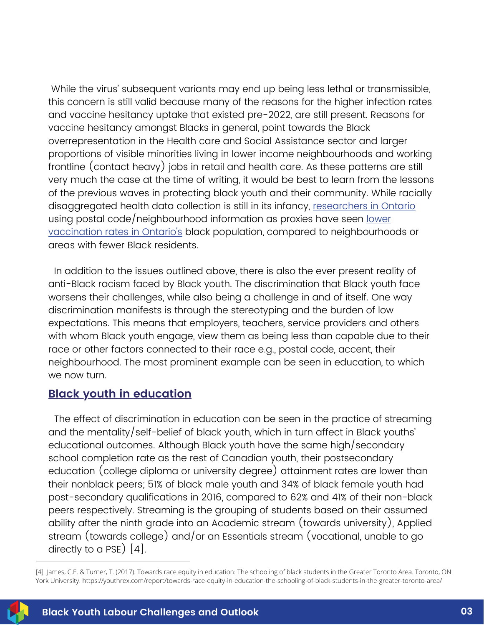While the virus' subsequent variants may end up being less lethal or transmissible, this concern is still valid because many of the reasons for the higher infection rates and vaccine hesitancy uptake that existed pre-2022, are still present. Reasons for vaccine hesitancy amongst Blacks in general, point towards the Black overrepresentation in the Health care and Social Assistance sector and larger proportions of visible minorities living in lower income neighbourhoods and working frontline (contact heavy) jobs in retail and health care. As these patterns are still very much the case at the time of writing, it would be best to learn from the lessons of the previous waves in protecting black youth and their community. While racially disaggregated health data collection is still in its infancy, [researchers](https://www.ontariohealth.ca/our-work/programs/equity-inclusion-diversity-and-anti-racism/report-covid-19-race-based-data) in Ontario using postal [code/neighbourhood](https://toronto.citynews.ca/video/2022/02/21/vaccination-rate-in-black-communities-lower-than-general-population/) information as proxies have seen <u>lower</u> vaccination rates in Ontario's black population, compared to neighbourhoods or areas with fewer Black residents.

In addition to the issues outlined above, there is also the ever present reality of anti-Black racism faced by Black youth. The discrimination that Black youth face worsens their challenges, while also being a challenge in and of itself. One way discrimination manifests is through the stereotyping and the burden of low expectations. This means that employers, teachers, service providers and others with whom Black youth engage, view them as being less than capable due to their race or other factors connected to their race e.g., postal code, accent, their neighbourhood. The most prominent example can be seen in education, to which we now turn.

## **Black youth in education**

The effect of discrimination in education can be seen in the practice of streaming and the mentality/self-belief of black youth, which in turn affect in Black youths' educational outcomes. Although Black youth have the same high/secondary school completion rate as the rest of Canadian youth, their postsecondary education (college diploma or university degree) attainment rates are lower than their nonblack peers; 51% of black male youth and 34% of black female youth had post-secondary qualifications in 2016, compared to 62% and 41% of their non-black peers respectively. Streaming is the grouping of students based on their assumed ability after the ninth grade into an Academic stream (towards university), Applied stream (towards college) and/or an Essentials stream (vocational, unable to go directly to a PSE) [4].

<sup>[4]</sup> James, C.E. & Turner, T. (2017). Towards race equity in education: The schooling of black students in the Greater Toronto Area. Toronto, ON: York University.<https://youthrex.com/report/towards-race-equity-in-education-the-schooling-of-black-students-in-the-greater-toronto-area/>

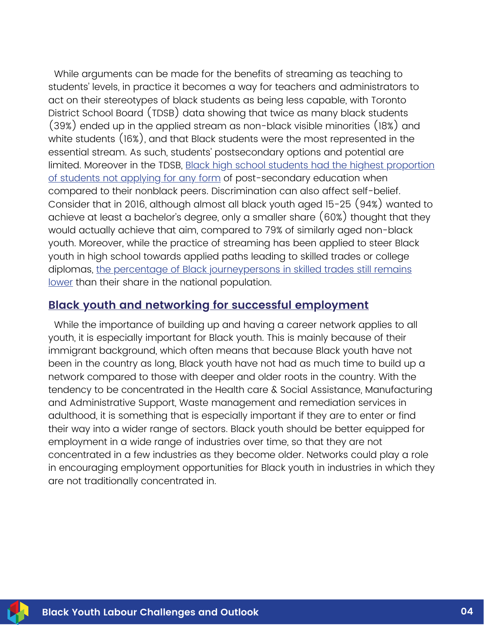While arguments can be made for the benefits of streaming as teaching to students' levels, in practice it becomes a way for teachers and administrators to act on their stereotypes of black students as being less capable, with Toronto District School Board (TDSB) data showing that twice as many black students (39%) ended up in the applied stream as non-black visible minorities (18%) and white students (16%), and that Black students were the most represented in the essential stream. As such, students' postsecondary options and potential are limited. Moreover in the TDSB, Black high school students had the highest proportion of students not applying for any form of [post-secondary](https://youthrex.com/report/towards-race-equity-in-education-the-schooling-of-black-students-in-the-greater-toronto-area/) education when compared to their nonblack peers. Discrimination can also affect self-belief. Consider that in 2016, although almost all black youth aged 15-25 (94%) wanted to achieve at least a bachelor's degree, only a smaller share (60%) thought that they would actually achieve that aim, compared to 79% of similarly aged non-black youth. Moreover, while the practice of streaming has been applied to steer Black youth in high school towards applied paths leading to skilled trades or college diplomas, the percentage of Black [journeypersons](https://www150.statcan.gc.ca/n1/pub/81-595-m/81-595-m2021005-eng.htm) in skilled trades still remains lower than their share in the national population.

## **Black youth and networking for successful employment**

While the importance of building up and having a career network applies to all youth, it is especially important for Black youth. This is mainly because of their immigrant background, which often means that because Black youth have not been in the country as long, Black youth have not had as much time to build up a network compared to those with deeper and older roots in the country. With the tendency to be concentrated in the Health care & Social Assistance, Manufacturing and Administrative Support, Waste management and remediation services in adulthood, it is something that is especially important if they are to enter or find their way into a wider range of sectors. Black youth should be better equipped for employment in a wide range of industries over time, so that they are not concentrated in a few industries as they become older. Networks could play a role in encouraging employment opportunities for Black youth in industries in which they are not traditionally concentrated in.

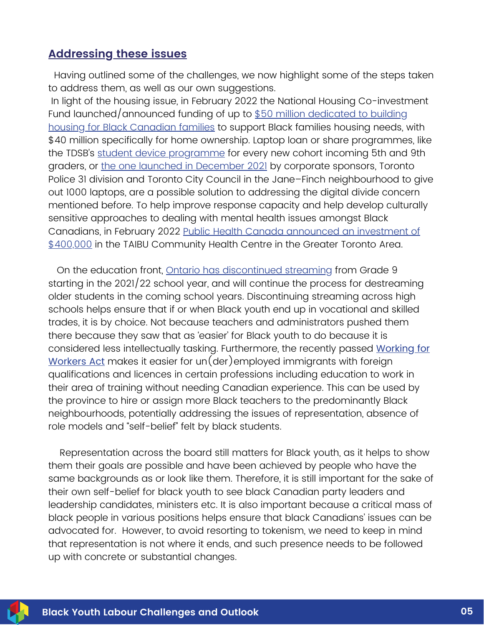## **Addressing these issues**

Having outlined some of the challenges, we now highlight some of the steps taken to address them, as well as our own suggestions.

In light of the housing issue, in February 2022 the National Housing Co-investment Fund [launched/announced](https://www.newswire.ca/news-releases/canada-supports-affordable-housing-for-black-canadians-894487955.html) funding of up to \$50 million dedicated to building housing for Black Canadian families to support Black families housing needs, with \$40 million specifically for home ownership. Laptop loan or share programmes, like the TDSB's student device [programme](https://www.tdsb.on.ca/Elementary-School/The-Classroom/Technology/Student-Device-Program) for every new cohort incoming 5th and 9th graders, or the one launched in [December](https://www.newswire.ca/news-releases/greenwin-and-toronto-police-31-division-bridge-the-digital-divide-with-laptops-for-learning-initiative-891833017.html) 2021 by corporate sponsors, Toronto Police 31 division and Toronto City Council in the Jane–Finch neighbourhood to give out 1000 laptops, are a possible solution to addressing the digital divide concern mentioned before. To help improve response capacity and help develop culturally sensitive approaches to dealing with mental health issues amongst Black Canadians, in February 2022 Public Health Canada announced an investment of \$400,000 in the TAIBU [Community](https://www.newswire.ca/news-releases/government-of-canada-supports-mental-health-programs-for-black-canadians-820367524.html) Health Centre in the Greater Toronto Area.

On the education front, Ontario has [discontinued](https://globalnews.ca/news/8366682/ontario-grade-9-academic-applied-streaming-curriculum/) streaming from Grade 9 starting in the 2021/22 school year, and will continue the process for destreaming older students in the coming school years. Discontinuing streaming across high schools helps ensure that if or when Black youth end up in vocational and skilled trades, it is by choice. Not because teachers and administrators pushed them there because they saw that as 'easier' for Black youth to do because it is considered less intellectually tasking. Furthermore, the recently passed Working for Workers Act makes it easier for [un\(der\)employed](https://news.ontario.ca/en/backgrounder/1001668/working-for-workers-act-2022) immigrants with foreign qualifications and licences in certain professions including education to work in their area of training without needing Canadian experience. This can be used by the province to hire or assign more Black teachers to the predominantly Black neighbourhoods, potentially addressing the issues of representation, absence of role models and "self-belief" felt by black students.

Representation across the board still matters for Black youth, as it helps to show them their goals are possible and have been achieved by people who have the same backgrounds as or look like them. Therefore, it is still important for the sake of their own self-belief for black youth to see black Canadian party leaders and leadership candidates, ministers etc. It is also important because a critical mass of black people in various positions helps ensure that black Canadians' issues can be advocated for. However, to avoid resorting to tokenism, we need to keep in mind that representation is not where it ends, and such presence needs to be followed up with concrete or substantial changes.

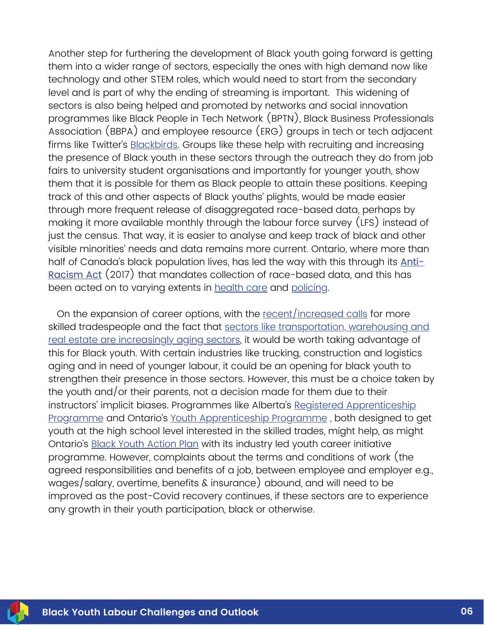Another step for furthering the development of Black youth going forward is getting them into a wider range of sectors, especially the ones with high demand now like technology and other STEM roles, which would need to start from the secondary level and is part of why the ending of streaming is important. This widening of sectors is also being helped and promoted by networks and social innovation programmes like Black People in Tech Network (BPTN), Black Business Professionals Association (BBPA) and employee resource (ERG) groups in tech or tech adjacent firms like Twitter's [Blackbirds.](https://twitter.com/Blackbirds?ref_src=twsrc%5Egoogle%7Ctwcamp%5Eserp%7Ctwgr%5Eauthor) Groups like these help with recruiting and increasing the presence of Black youth in these sectors through the outreach they do from job fairs to university student organisations and importantly for younger youth, show them that it is possible for them as Black people to attain these positions. Keeping track of this and other aspects of Black youths' plights, would be made easier through more frequent release of disaggregated race-based data, perhaps by making it more available monthly through the labour force survey (LFS) instead of just the census. That way, it is easier to analyse and keep track of black and other visible minorities' needs and data remains more current. Ontario, where more than half of Canada's black population lives, has led the way with this through its Anti-Racism Act (2017) that mandates collection of [race-based](https://www.ontario.ca/laws/statute/17a15) data, and this has been acted on to varying extents in [health](https://www.ontariohealth.ca/our-work/equity-inclusion-diversity-and-anti-racism/report-covid-19-race-based-data) care and [policing](https://www.oiprd.on.ca/oiprd-begins-to-collect-race-based-data-under-the-anti-racism-act-2017/).

On the expansion of career options, with the [recent/increased](https://policyoptions.irpp.org/magazines/february-2020/the-skilled-trades-are-in-need-of-strengthened-apprenticeship-programs/) calls for more skilled tradespeople and the fact that sectors like [transportation,](https://ccyp-ccpj.wildapricot.org/resources/Knowledge%20Centre/EN%20Snapshot%20Issue%2012.pdf) warehousing and real estate are increasingly aging sectors, it would be worth taking advantage of this for Black youth. With certain industries like trucking, construction and logistics aging and in need of younger labour, it could be an opening for black youth to strengthen their presence in those sectors. However, this must be a choice taken by the youth and/or their parents, not a decision made for them due to their instructors' implicit biases. Programmes like Alberta's Registered Apprenticeship Programme and Ontario's Youth [Apprenticeship](https://tradesecrets.alberta.ca/learn-on-the-job/who-can-learn-a-trade/registered-apprenticeship-program/) Programme , both designed to get youth at the high school level interested in the skilled trades, might help, as might Ontario's Black Youth [Action](https://www.ontario.ca/page/black-youth-action-plan#:~:text=Overview,parenting%20initiatives%20and%20mentorship%20programs) Plan with its industry led youth career initiative programme. However, complaints about the terms and conditions of work (the agreed responsibilities and benefits of a job, between employee and employer e.g., wages/salary, overtime, benefits & insurance) abound, and will need to be improved as the post-Covid recovery continues, if these sectors are to experience any growth in their youth participation, black or otherwise.